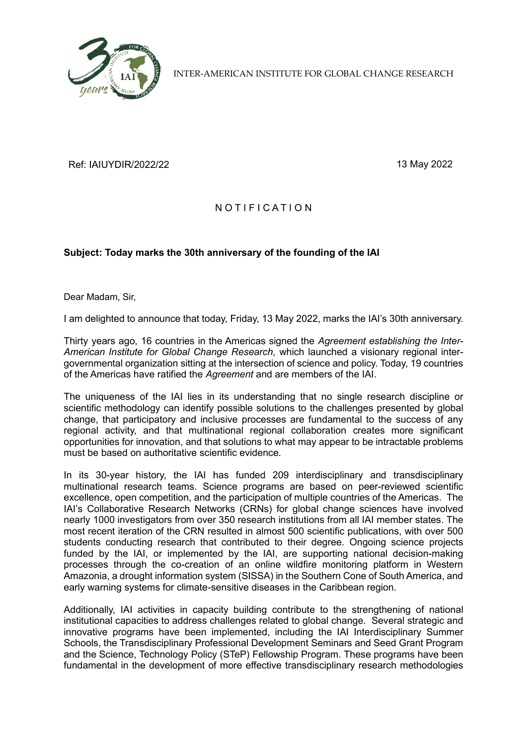

INTER-AMERICAN INSTITUTE FOR GLOBAL CHANGE RESEARCH

Ref: IAIUYDIR/2022/22 13 May 2022

## NOTIFICATION

## **Subject: Today marks the 30th anniversary of the founding of the IAI**

Dear Madam, Sir,

I am delighted to announce that today, Friday, 13 May 2022, marks the IAI's 30th anniversary.

Thirty years ago, 16 countries in the Americas signed the *Agreement establishing the Inter-American Institute for Global Change Research,* which launched a visionary regional intergovernmental organization sitting at the intersection of science and policy. Today, 19 countries of the Americas have ratified the *Agreement* and are members of the IAI.

The uniqueness of the IAI lies in its understanding that no single research discipline or scientific methodology can identify possible solutions to the challenges presented by global change, that participatory and inclusive processes are fundamental to the success of any regional activity, and that multinational regional collaboration creates more significant opportunities for innovation, and that solutions to what may appear to be intractable problems must be based on authoritative scientific evidence.

In its 30-year history, the IAI has funded 209 interdisciplinary and transdisciplinary multinational research teams. Science programs are based on peer-reviewed scientific excellence, open competition, and the participation of multiple countries of the Americas. The IAI's Collaborative Research Networks (CRNs) for global change sciences have involved nearly 1000 investigators from over 350 research institutions from all IAI member states. The most recent iteration of the CRN resulted in almost 500 scientific publications, with over 500 students conducting research that contributed to their degree. Ongoing science projects funded by the IAI, or implemented by the IAI, are supporting national decision-making processes through the co-creation of an online wildfire monitoring platform in Western Amazonia, a drought information system (SISSA) in the Southern Cone of South America, and early warning systems for climate-sensitive diseases in the Caribbean region.

Additionally, IAI activities in capacity building contribute to the strengthening of national institutional capacities to address challenges related to global change. Several strategic and innovative programs have been implemented, including the IAI Interdisciplinary Summer Schools, the Transdisciplinary Professional Development Seminars and Seed Grant Program and the Science, Technology Policy (STeP) Fellowship Program. These programs have been fundamental in the development of more effective transdisciplinary research methodologies